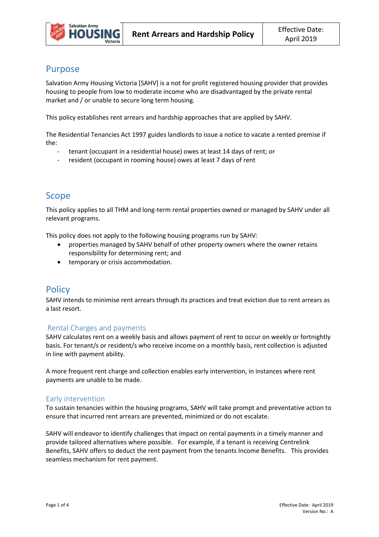

# Purpose

Salvation Army Housing Victoria [SAHV] is a not for profit registered housing provider that provides housing to people from low to moderate income who are disadvantaged by the private rental market and / or unable to secure long term housing.

This policy establishes rent arrears and hardship approaches that are applied by SAHV.

The Residential Tenancies Act 1997 guides landlords to issue a notice to vacate a rented premise if the:

- tenant (occupant in a residential house) owes at least 14 days of rent; or
- resident (occupant in rooming house) owes at least 7 days of rent

# Scope

This policy applies to all THM and long-term rental properties owned or managed by SAHV under all relevant programs.

This policy does not apply to the following housing programs run by SAHV:

- properties managed by SAHV behalf of other property owners where the owner retains responsibility for determining rent; and
- temporary or crisis accommodation.

# **Policy**

SAHV intends to minimise rent arrears through its practices and treat eviction due to rent arrears as a last resort.

### Rental Charges and payments

SAHV calculates rent on a weekly basis and allows payment of rent to occur on weekly or fortnightly basis. For tenant/s or resident/s who receive income on a monthly basis, rent collection is adjusted in line with payment ability.

A more frequent rent charge and collection enables early intervention, in instances where rent payments are unable to be made.

### Early intervention

To sustain tenancies within the housing programs, SAHV will take prompt and preventative action to ensure that incurred rent arrears are prevented, minimized or do not escalate.

SAHV will endeavor to identify challenges that impact on rental payments in a timely manner and provide tailored alternatives where possible. For example, if a tenant is receiving Centrelink Benefits, SAHV offers to deduct the rent payment from the tenants Income Benefits. This provides seamless mechanism for rent payment.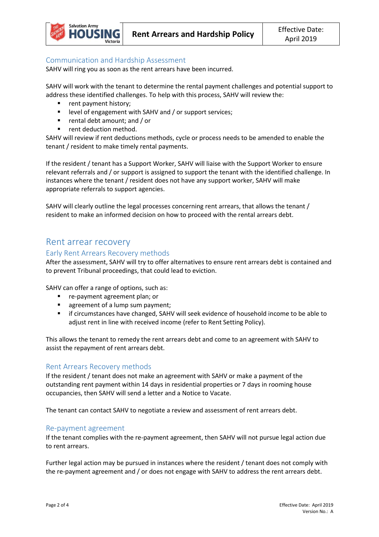

#### Communication and Hardship Assessment

SAHV will ring you as soon as the rent arrears have been incurred.

SAHV will work with the tenant to determine the rental payment challenges and potential support to address these identified challenges. To help with this process, SAHV will review the:

- rent payment history;
- **EXECTE HIGHT III III SAHV and / or support services;**
- rental debt amount; and / or
- rent deduction method.

SAHV will review if rent deductions methods, cycle or process needs to be amended to enable the tenant / resident to make timely rental payments.

If the resident / tenant has a Support Worker, SAHV will liaise with the Support Worker to ensure relevant referrals and / or support is assigned to support the tenant with the identified challenge. In instances where the tenant / resident does not have any support worker, SAHV will make appropriate referrals to support agencies.

SAHV will clearly outline the legal processes concerning rent arrears, that allows the tenant / resident to make an informed decision on how to proceed with the rental arrears debt.

### Rent arrear recovery

#### Early Rent Arrears Recovery methods

After the assessment, SAHV will try to offer alternatives to ensure rent arrears debt is contained and to prevent Tribunal proceedings, that could lead to eviction.

SAHV can offer a range of options, such as:

- re-payment agreement plan; or
- **agreement of a lump sum payment;**
- **F** if circumstances have changed, SAHV will seek evidence of household income to be able to adjust rent in line with received income (refer to Rent Setting Policy).

This allows the tenant to remedy the rent arrears debt and come to an agreement with SAHV to assist the repayment of rent arrears debt.

#### Rent Arrears Recovery methods

If the resident / tenant does not make an agreement with SAHV or make a payment of the outstanding rent payment within 14 days in residential properties or 7 days in rooming house occupancies, then SAHV will send a letter and a Notice to Vacate.

The tenant can contact SAHV to negotiate a review and assessment of rent arrears debt.

#### Re-payment agreement

If the tenant complies with the re-payment agreement, then SAHV will not pursue legal action due to rent arrears.

Further legal action may be pursued in instances where the resident / tenant does not comply with the re-payment agreement and / or does not engage with SAHV to address the rent arrears debt.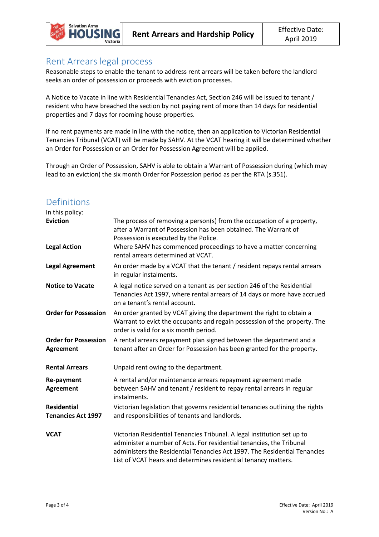

### Rent Arrears legal process

Reasonable steps to enable the tenant to address rent arrears will be taken before the landlord seeks an order of possession or proceeds with eviction processes.

A Notice to Vacate in line with Residential Tenancies Act, Section 246 will be issued to tenant / resident who have breached the section by not paying rent of more than 14 days for residential properties and 7 days for rooming house properties.

If no rent payments are made in line with the notice, then an application to Victorian Residential Tenancies Tribunal (VCAT) will be made by SAHV. At the VCAT hearing it will be determined whether an Order for Possession or an Order for Possession Agreement will be applied.

Through an Order of Possession, SAHV is able to obtain a Warrant of Possession during (which may lead to an eviction) the six month Order for Possession period as per the RTA (s.351).

# Definitions

| In this policy:                                 |                                                                                                                                                                                                                                                                                                |
|-------------------------------------------------|------------------------------------------------------------------------------------------------------------------------------------------------------------------------------------------------------------------------------------------------------------------------------------------------|
| <b>Eviction</b>                                 | The process of removing a person(s) from the occupation of a property,<br>after a Warrant of Possession has been obtained. The Warrant of<br>Possession is executed by the Police.                                                                                                             |
| <b>Legal Action</b>                             | Where SAHV has commenced proceedings to have a matter concerning<br>rental arrears determined at VCAT.                                                                                                                                                                                         |
| <b>Legal Agreement</b>                          | An order made by a VCAT that the tenant / resident repays rental arrears<br>in regular instalments.                                                                                                                                                                                            |
| <b>Notice to Vacate</b>                         | A legal notice served on a tenant as per section 246 of the Residential<br>Tenancies Act 1997, where rental arrears of 14 days or more have accrued<br>on a tenant's rental account.                                                                                                           |
| <b>Order for Possession</b>                     | An order granted by VCAT giving the department the right to obtain a<br>Warrant to evict the occupants and regain possession of the property. The<br>order is valid for a six month period.                                                                                                    |
| <b>Order for Possession</b><br><b>Agreement</b> | A rental arrears repayment plan signed between the department and a<br>tenant after an Order for Possession has been granted for the property.                                                                                                                                                 |
| <b>Rental Arrears</b>                           | Unpaid rent owing to the department.                                                                                                                                                                                                                                                           |
| <b>Re-payment</b><br><b>Agreement</b>           | A rental and/or maintenance arrears repayment agreement made<br>between SAHV and tenant / resident to repay rental arrears in regular<br>instalments.                                                                                                                                          |
| <b>Residential</b><br><b>Tenancies Act 1997</b> | Victorian legislation that governs residential tenancies outlining the rights<br>and responsibilities of tenants and landlords.                                                                                                                                                                |
| <b>VCAT</b>                                     | Victorian Residential Tenancies Tribunal. A legal institution set up to<br>administer a number of Acts. For residential tenancies, the Tribunal<br>administers the Residential Tenancies Act 1997. The Residential Tenancies<br>List of VCAT hears and determines residential tenancy matters. |